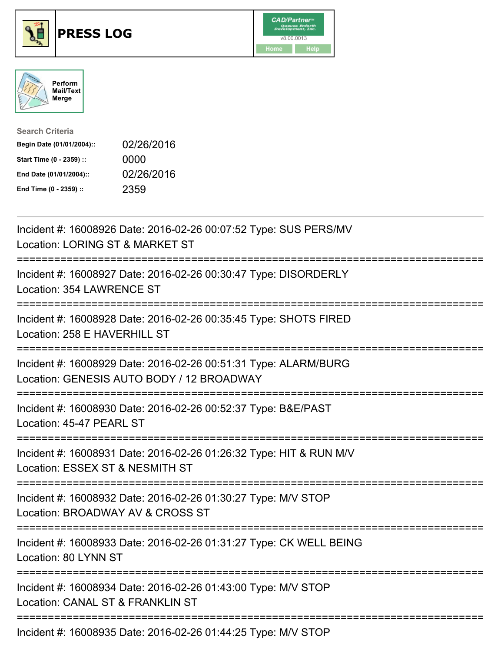





| <b>Search Criteria</b>    |            |
|---------------------------|------------|
| Begin Date (01/01/2004):: | 02/26/2016 |
| Start Time (0 - 2359) ::  | 0000       |
| End Date (01/01/2004)::   | 02/26/2016 |
| End Time (0 - 2359) ::    | 2359       |

| Incident #: 16008926 Date: 2016-02-26 00:07:52 Type: SUS PERS/MV<br>Location: LORING ST & MARKET ST                               |
|-----------------------------------------------------------------------------------------------------------------------------------|
| Incident #: 16008927 Date: 2016-02-26 00:30:47 Type: DISORDERLY<br>Location: 354 LAWRENCE ST                                      |
| Incident #: 16008928 Date: 2016-02-26 00:35:45 Type: SHOTS FIRED<br>Location: 258 E HAVERHILL ST                                  |
| Incident #: 16008929 Date: 2016-02-26 00:51:31 Type: ALARM/BURG<br>Location: GENESIS AUTO BODY / 12 BROADWAY                      |
| Incident #: 16008930 Date: 2016-02-26 00:52:37 Type: B&E/PAST<br>Location: 45-47 PEARL ST<br>================                     |
| Incident #: 16008931 Date: 2016-02-26 01:26:32 Type: HIT & RUN M/V<br>Location: ESSEX ST & NESMITH ST                             |
| Incident #: 16008932 Date: 2016-02-26 01:30:27 Type: M/V STOP<br>Location: BROADWAY AV & CROSS ST<br>;=========================== |
| Incident #: 16008933 Date: 2016-02-26 01:31:27 Type: CK WELL BEING<br>Location: 80 LYNN ST                                        |
| Incident #: 16008934 Date: 2016-02-26 01:43:00 Type: M/V STOP<br>Location: CANAL ST & FRANKLIN ST                                 |
| Incident #: 16008935 Date: 2016-02-26 01:44:25 Type: M/V STOP                                                                     |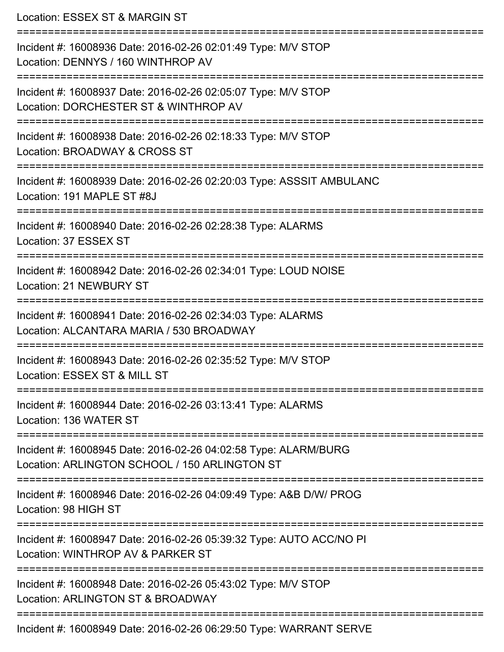Location: ESSEX ST & MARGIN ST =========================================================================== Incident #: 16008936 Date: 2016-02-26 02:01:49 Type: M/V STOP Location: DENNYS / 160 WINTHROP AV =========================================================================== Incident #: 16008937 Date: 2016-02-26 02:05:07 Type: M/V STOP Location: DORCHESTER ST & WINTHROP AV =========================================================================== Incident #: 16008938 Date: 2016-02-26 02:18:33 Type: M/V STOP Location: BROADWAY & CROSS ST =========================================================================== Incident #: 16008939 Date: 2016-02-26 02:20:03 Type: ASSSIT AMBULANC Location: 191 MAPLE ST #8J =========================================================================== Incident #: 16008940 Date: 2016-02-26 02:28:38 Type: ALARMS Location: 37 ESSEX ST =========================================================================== Incident #: 16008942 Date: 2016-02-26 02:34:01 Type: LOUD NOISE Location: 21 NEWBURY ST =========================================================================== Incident #: 16008941 Date: 2016-02-26 02:34:03 Type: ALARMS Location: ALCANTARA MARIA / 530 BROADWAY =========================================================================== Incident #: 16008943 Date: 2016-02-26 02:35:52 Type: M/V STOP Location: ESSEX ST & MILL ST =========================================================================== Incident #: 16008944 Date: 2016-02-26 03:13:41 Type: ALARMS Location: 136 WATER ST =========================================================================== Incident #: 16008945 Date: 2016-02-26 04:02:58 Type: ALARM/BURG Location: ARLINGTON SCHOOL / 150 ARLINGTON ST =========================================================================== Incident #: 16008946 Date: 2016-02-26 04:09:49 Type: A&B D/W/ PROG Location: 98 HIGH ST =========================================================================== Incident #: 16008947 Date: 2016-02-26 05:39:32 Type: AUTO ACC/NO PI Location: WINTHROP AV & PARKER ST =========================================================================== Incident #: 16008948 Date: 2016-02-26 05:43:02 Type: M/V STOP Location: ARLINGTON ST & BROADWAY ===========================================================================

Incident #: 16008949 Date: 2016-02-26 06:29:50 Type: WARRANT SERVE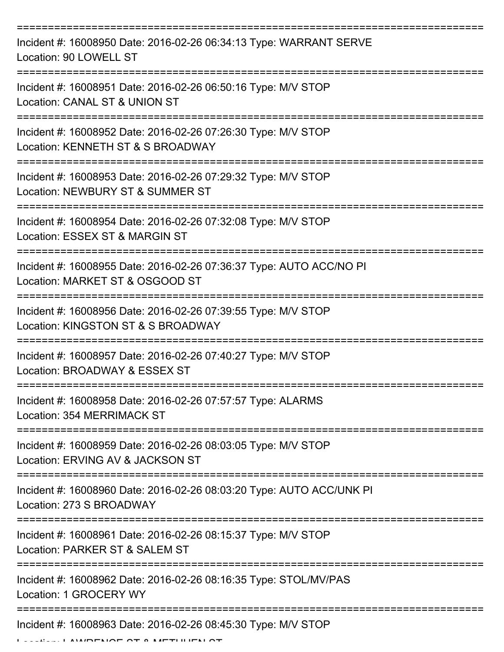| Incident #: 16008950 Date: 2016-02-26 06:34:13 Type: WARRANT SERVE<br>Location: 90 LOWELL ST           |
|--------------------------------------------------------------------------------------------------------|
| Incident #: 16008951 Date: 2016-02-26 06:50:16 Type: M/V STOP<br>Location: CANAL ST & UNION ST         |
| Incident #: 16008952 Date: 2016-02-26 07:26:30 Type: M/V STOP<br>Location: KENNETH ST & S BROADWAY     |
| Incident #: 16008953 Date: 2016-02-26 07:29:32 Type: M/V STOP<br>Location: NEWBURY ST & SUMMER ST      |
| Incident #: 16008954 Date: 2016-02-26 07:32:08 Type: M/V STOP<br>Location: ESSEX ST & MARGIN ST        |
| Incident #: 16008955 Date: 2016-02-26 07:36:37 Type: AUTO ACC/NO PI<br>Location: MARKET ST & OSGOOD ST |
| Incident #: 16008956 Date: 2016-02-26 07:39:55 Type: M/V STOP<br>Location: KINGSTON ST & S BROADWAY    |
| Incident #: 16008957 Date: 2016-02-26 07:40:27 Type: M/V STOP<br>Location: BROADWAY & ESSEX ST         |
| Incident #: 16008958 Date: 2016-02-26 07:57:57 Type: ALARMS<br>Location: 354 MERRIMACK ST              |
| Incident #: 16008959 Date: 2016-02-26 08:03:05 Type: M/V STOP<br>Location: ERVING AV & JACKSON ST      |
| Incident #: 16008960 Date: 2016-02-26 08:03:20 Type: AUTO ACC/UNK PI<br>Location: 273 S BROADWAY       |
| Incident #: 16008961 Date: 2016-02-26 08:15:37 Type: M/V STOP<br>Location: PARKER ST & SALEM ST        |
| Incident #: 16008962 Date: 2016-02-26 08:16:35 Type: STOL/MV/PAS<br>Location: 1 GROCERY WY             |
| Incident #: 16008963 Date: 2016-02-26 08:45:30 Type: M/V STOP                                          |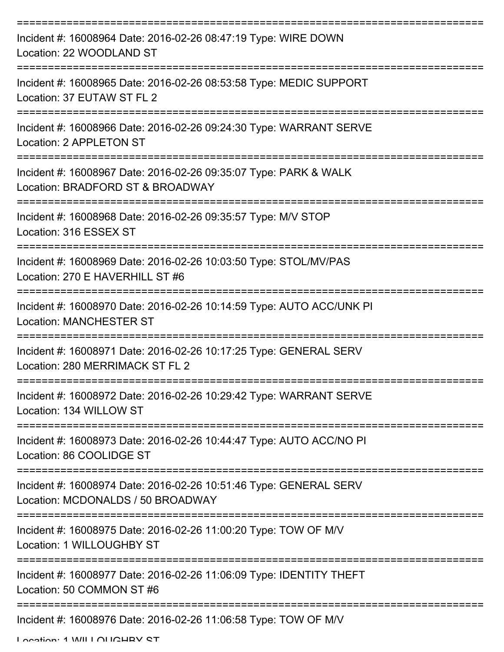| Incident #: 16008964 Date: 2016-02-26 08:47:19 Type: WIRE DOWN<br>Location: 22 WOODLAND ST                            |
|-----------------------------------------------------------------------------------------------------------------------|
| Incident #: 16008965 Date: 2016-02-26 08:53:58 Type: MEDIC SUPPORT<br>Location: 37 EUTAW ST FL 2                      |
| Incident #: 16008966 Date: 2016-02-26 09:24:30 Type: WARRANT SERVE<br>Location: 2 APPLETON ST                         |
| Incident #: 16008967 Date: 2016-02-26 09:35:07 Type: PARK & WALK<br>Location: BRADFORD ST & BROADWAY                  |
| Incident #: 16008968 Date: 2016-02-26 09:35:57 Type: M/V STOP<br>Location: 316 ESSEX ST                               |
| Incident #: 16008969 Date: 2016-02-26 10:03:50 Type: STOL/MV/PAS<br>Location: 270 E HAVERHILL ST #6                   |
| Incident #: 16008970 Date: 2016-02-26 10:14:59 Type: AUTO ACC/UNK PI<br><b>Location: MANCHESTER ST</b><br>=========== |
| Incident #: 16008971 Date: 2016-02-26 10:17:25 Type: GENERAL SERV<br>Location: 280 MERRIMACK ST FL 2                  |
| Incident #: 16008972 Date: 2016-02-26 10:29:42 Type: WARRANT SERVE<br>Location: 134 WILLOW ST                         |
| Incident #: 16008973 Date: 2016-02-26 10:44:47 Type: AUTO ACC/NO PI<br>Location: 86 COOLIDGE ST                       |
| Incident #: 16008974 Date: 2016-02-26 10:51:46 Type: GENERAL SERV<br>Location: MCDONALDS / 50 BROADWAY                |
| Incident #: 16008975 Date: 2016-02-26 11:00:20 Type: TOW OF M/V<br>Location: 1 WILLOUGHBY ST                          |
| Incident #: 16008977 Date: 2016-02-26 11:06:09 Type: IDENTITY THEFT<br>Location: 50 COMMON ST #6                      |
| Incident #: 16008976 Date: 2016-02-26 11:06:58 Type: TOW OF M/V                                                       |

Location: 1 WILLOUGHBY ST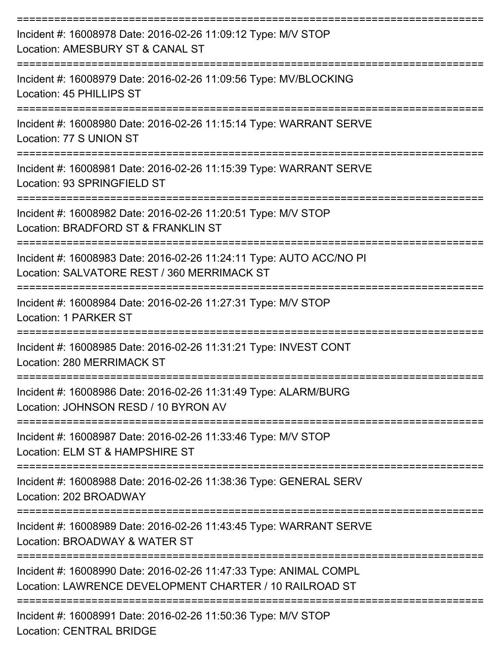| Incident #: 16008978 Date: 2016-02-26 11:09:12 Type: M/V STOP<br>Location: AMESBURY ST & CANAL ST                            |
|------------------------------------------------------------------------------------------------------------------------------|
| Incident #: 16008979 Date: 2016-02-26 11:09:56 Type: MV/BLOCKING<br>Location: 45 PHILLIPS ST                                 |
| Incident #: 16008980 Date: 2016-02-26 11:15:14 Type: WARRANT SERVE<br>Location: 77 S UNION ST<br>--------------------        |
| Incident #: 16008981 Date: 2016-02-26 11:15:39 Type: WARRANT SERVE<br>Location: 93 SPRINGFIELD ST                            |
| Incident #: 16008982 Date: 2016-02-26 11:20:51 Type: M/V STOP<br>Location: BRADFORD ST & FRANKLIN ST                         |
| Incident #: 16008983 Date: 2016-02-26 11:24:11 Type: AUTO ACC/NO PI<br>Location: SALVATORE REST / 360 MERRIMACK ST           |
| Incident #: 16008984 Date: 2016-02-26 11:27:31 Type: M/V STOP<br>Location: 1 PARKER ST                                       |
| Incident #: 16008985 Date: 2016-02-26 11:31:21 Type: INVEST CONT<br>Location: 280 MERRIMACK ST                               |
| Incident #: 16008986 Date: 2016-02-26 11:31:49 Type: ALARM/BURG<br>Location: JOHNSON RESD / 10 BYRON AV                      |
| Incident #: 16008987 Date: 2016-02-26 11:33:46 Type: M/V STOP<br>Location: ELM ST & HAMPSHIRE ST                             |
| Incident #: 16008988 Date: 2016-02-26 11:38:36 Type: GENERAL SERV<br>Location: 202 BROADWAY                                  |
| Incident #: 16008989 Date: 2016-02-26 11:43:45 Type: WARRANT SERVE<br>Location: BROADWAY & WATER ST                          |
| Incident #: 16008990 Date: 2016-02-26 11:47:33 Type: ANIMAL COMPL<br>Location: LAWRENCE DEVELOPMENT CHARTER / 10 RAILROAD ST |
| Incident #: 16008991 Date: 2016-02-26 11:50:36 Type: M/V STOP<br><b>Location: CENTRAL BRIDGE</b>                             |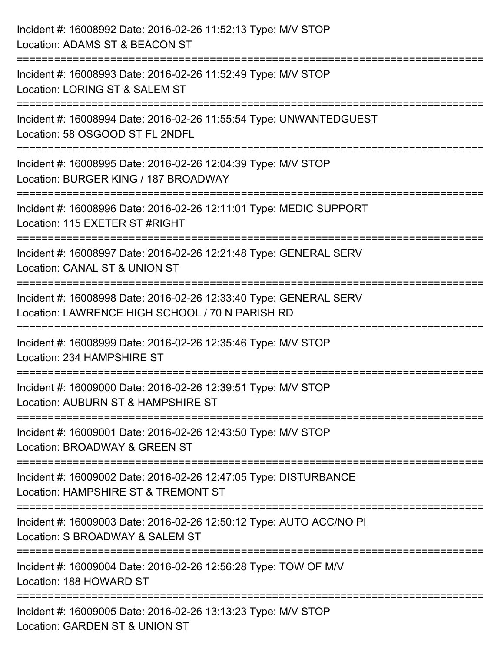| Incident #: 16008992 Date: 2016-02-26 11:52:13 Type: M/V STOP<br>Location: ADAMS ST & BEACON ST                                                                                    |
|------------------------------------------------------------------------------------------------------------------------------------------------------------------------------------|
| Incident #: 16008993 Date: 2016-02-26 11:52:49 Type: M/V STOP<br>Location: LORING ST & SALEM ST                                                                                    |
| Incident #: 16008994 Date: 2016-02-26 11:55:54 Type: UNWANTEDGUEST<br>Location: 58 OSGOOD ST FL 2NDFL<br>===================================<br>================================== |
| Incident #: 16008995 Date: 2016-02-26 12:04:39 Type: M/V STOP<br>Location: BURGER KING / 187 BROADWAY                                                                              |
| Incident #: 16008996 Date: 2016-02-26 12:11:01 Type: MEDIC SUPPORT<br>Location: 115 EXETER ST #RIGHT                                                                               |
| Incident #: 16008997 Date: 2016-02-26 12:21:48 Type: GENERAL SERV<br>Location: CANAL ST & UNION ST                                                                                 |
| Incident #: 16008998 Date: 2016-02-26 12:33:40 Type: GENERAL SERV<br>Location: LAWRENCE HIGH SCHOOL / 70 N PARISH RD                                                               |
| Incident #: 16008999 Date: 2016-02-26 12:35:46 Type: M/V STOP<br>Location: 234 HAMPSHIRE ST                                                                                        |
| Incident #: 16009000 Date: 2016-02-26 12:39:51 Type: M/V STOP<br>Location: AUBURN ST & HAMPSHIRE ST                                                                                |
| Incident #: 16009001 Date: 2016-02-26 12:43:50 Type: M/V STOP<br>Location: BROADWAY & GREEN ST                                                                                     |
| Incident #: 16009002 Date: 2016-02-26 12:47:05 Type: DISTURBANCE<br>Location: HAMPSHIRE ST & TREMONT ST                                                                            |
| -----------------------<br>Incident #: 16009003 Date: 2016-02-26 12:50:12 Type: AUTO ACC/NO PI<br>Location: S BROADWAY & SALEM ST                                                  |
| Incident #: 16009004 Date: 2016-02-26 12:56:28 Type: TOW OF M/V<br>Location: 188 HOWARD ST                                                                                         |
| Incident #: 16009005 Date: 2016-02-26 13:13:23 Type: M/V STOP<br>Location: GARDEN ST & UNION ST                                                                                    |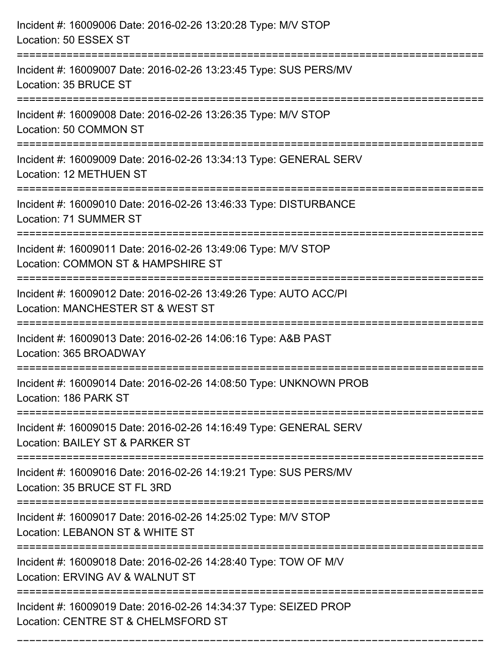| Incident #: 16009006 Date: 2016-02-26 13:20:28 Type: M/V STOP<br>Location: 50 ESSEX ST                                                |
|---------------------------------------------------------------------------------------------------------------------------------------|
| Incident #: 16009007 Date: 2016-02-26 13:23:45 Type: SUS PERS/MV<br>Location: 35 BRUCE ST                                             |
| Incident #: 16009008 Date: 2016-02-26 13:26:35 Type: M/V STOP<br>Location: 50 COMMON ST<br>=================================          |
| Incident #: 16009009 Date: 2016-02-26 13:34:13 Type: GENERAL SERV<br>Location: 12 METHUEN ST                                          |
| Incident #: 16009010 Date: 2016-02-26 13:46:33 Type: DISTURBANCE<br>Location: 71 SUMMER ST                                            |
| Incident #: 16009011 Date: 2016-02-26 13:49:06 Type: M/V STOP<br>Location: COMMON ST & HAMPSHIRE ST<br>============================== |
| Incident #: 16009012 Date: 2016-02-26 13:49:26 Type: AUTO ACC/PI<br>Location: MANCHESTER ST & WEST ST                                 |
| Incident #: 16009013 Date: 2016-02-26 14:06:16 Type: A&B PAST<br>Location: 365 BROADWAY                                               |
| Incident #: 16009014 Date: 2016-02-26 14:08:50 Type: UNKNOWN PROB<br>Location: 186 PARK ST                                            |
| Incident #: 16009015 Date: 2016-02-26 14:16:49 Type: GENERAL SERV<br>Location: BAILEY ST & PARKER ST                                  |
| Incident #: 16009016 Date: 2016-02-26 14:19:21 Type: SUS PERS/MV<br>Location: 35 BRUCE ST FL 3RD                                      |
| Incident #: 16009017 Date: 2016-02-26 14:25:02 Type: M/V STOP<br>Location: LEBANON ST & WHITE ST                                      |
| Incident #: 16009018 Date: 2016-02-26 14:28:40 Type: TOW OF M/V<br>Location: ERVING AV & WALNUT ST                                    |
| Incident #: 16009019 Date: 2016-02-26 14:34:37 Type: SEIZED PROP<br>Location: CENTRE ST & CHELMSFORD ST                               |

===========================================================================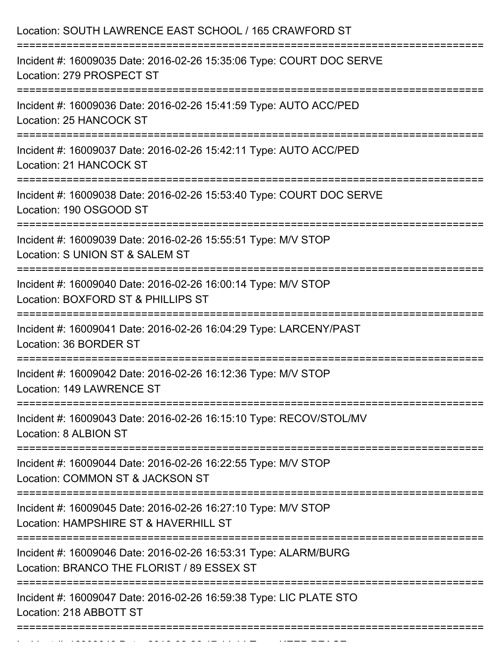| Location: SOUTH LAWRENCE EAST SCHOOL / 165 CRAWFORD ST                                                                                                         |
|----------------------------------------------------------------------------------------------------------------------------------------------------------------|
| Incident #: 16009035 Date: 2016-02-26 15:35:06 Type: COURT DOC SERVE<br>Location: 279 PROSPECT ST<br>:=====================                                    |
| Incident #: 16009036 Date: 2016-02-26 15:41:59 Type: AUTO ACC/PED<br>Location: 25 HANCOCK ST                                                                   |
| Incident #: 16009037 Date: 2016-02-26 15:42:11 Type: AUTO ACC/PED<br><b>Location: 21 HANCOCK ST</b>                                                            |
| Incident #: 16009038 Date: 2016-02-26 15:53:40 Type: COURT DOC SERVE<br>Location: 190 OSGOOD ST                                                                |
| Incident #: 16009039 Date: 2016-02-26 15:55:51 Type: M/V STOP<br>Location: S UNION ST & SALEM ST<br>================================<br>====================== |
| Incident #: 16009040 Date: 2016-02-26 16:00:14 Type: M/V STOP<br>Location: BOXFORD ST & PHILLIPS ST                                                            |
| Incident #: 16009041 Date: 2016-02-26 16:04:29 Type: LARCENY/PAST<br>Location: 36 BORDER ST<br>---------------------                                           |
| Incident #: 16009042 Date: 2016-02-26 16:12:36 Type: M/V STOP<br>Location: 149 LAWRENCE ST                                                                     |
| Incident #: 16009043 Date: 2016-02-26 16:15:10 Type: RECOV/STOL/MV<br>Location: 8 ALBION ST                                                                    |
| Incident #: 16009044 Date: 2016-02-26 16:22:55 Type: M/V STOP<br>Location: COMMON ST & JACKSON ST                                                              |
| Incident #: 16009045 Date: 2016-02-26 16:27:10 Type: M/V STOP<br>Location: HAMPSHIRE ST & HAVERHILL ST                                                         |
| Incident #: 16009046 Date: 2016-02-26 16:53:31 Type: ALARM/BURG<br>Location: BRANCO THE FLORIST / 89 ESSEX ST                                                  |
| Incident #: 16009047 Date: 2016-02-26 16:59:38 Type: LIC PLATE STO<br>Location: 218 ABBOTT ST                                                                  |
|                                                                                                                                                                |

Incident #: 16009048 Date: 2016 02 26 17:14:14 Type: 2016 02 26 17:14:14:14:14:14:14:14:14:14:14:14:<br>.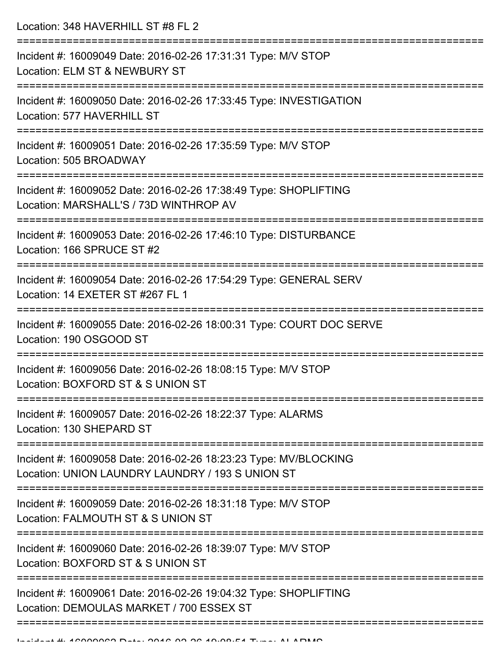Location: 348 HAVERHILL ST #8 FL 2

| Incident #: 16009049 Date: 2016-02-26 17:31:31 Type: M/V STOP<br>Location: ELM ST & NEWBURY ST                       |
|----------------------------------------------------------------------------------------------------------------------|
| Incident #: 16009050 Date: 2016-02-26 17:33:45 Type: INVESTIGATION<br>Location: 577 HAVERHILL ST                     |
| Incident #: 16009051 Date: 2016-02-26 17:35:59 Type: M/V STOP<br>Location: 505 BROADWAY                              |
| Incident #: 16009052 Date: 2016-02-26 17:38:49 Type: SHOPLIFTING<br>Location: MARSHALL'S / 73D WINTHROP AV           |
| Incident #: 16009053 Date: 2016-02-26 17:46:10 Type: DISTURBANCE<br>Location: 166 SPRUCE ST #2                       |
| Incident #: 16009054 Date: 2016-02-26 17:54:29 Type: GENERAL SERV<br>Location: 14 EXETER ST #267 FL 1                |
| Incident #: 16009055 Date: 2016-02-26 18:00:31 Type: COURT DOC SERVE<br>Location: 190 OSGOOD ST                      |
| Incident #: 16009056 Date: 2016-02-26 18:08:15 Type: M/V STOP<br>Location: BOXFORD ST & S UNION ST                   |
| Incident #: 16009057 Date: 2016-02-26 18:22:37 Type: ALARMS<br>Location: 130 SHEPARD ST                              |
| Incident #: 16009058 Date: 2016-02-26 18:23:23 Type: MV/BLOCKING<br>Location: UNION LAUNDRY LAUNDRY / 193 S UNION ST |
| Incident #: 16009059 Date: 2016-02-26 18:31:18 Type: M/V STOP<br>Location: FALMOUTH ST & S UNION ST                  |
| Incident #: 16009060 Date: 2016-02-26 18:39:07 Type: M/V STOP<br>Location: BOXFORD ST & S UNION ST                   |
| Incident #: 16009061 Date: 2016-02-26 19:04:32 Type: SHOPLIFTING<br>Location: DEMOULAS MARKET / 700 ESSEX ST         |
|                                                                                                                      |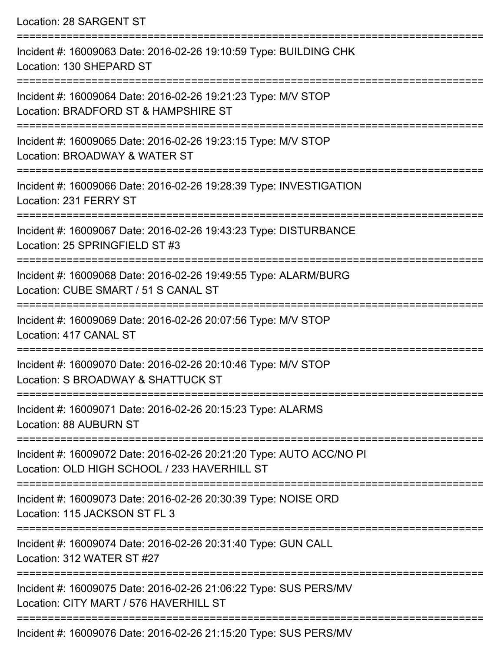Location: 28 SARGENT ST

| Incident #: 16009063 Date: 2016-02-26 19:10:59 Type: BUILDING CHK<br>Location: 130 SHEPARD ST                       |
|---------------------------------------------------------------------------------------------------------------------|
| Incident #: 16009064 Date: 2016-02-26 19:21:23 Type: M/V STOP<br>Location: BRADFORD ST & HAMPSHIRE ST               |
| Incident #: 16009065 Date: 2016-02-26 19:23:15 Type: M/V STOP<br>Location: BROADWAY & WATER ST                      |
| Incident #: 16009066 Date: 2016-02-26 19:28:39 Type: INVESTIGATION<br>Location: 231 FERRY ST                        |
| Incident #: 16009067 Date: 2016-02-26 19:43:23 Type: DISTURBANCE<br>Location: 25 SPRINGFIELD ST #3                  |
| Incident #: 16009068 Date: 2016-02-26 19:49:55 Type: ALARM/BURG<br>Location: CUBE SMART / 51 S CANAL ST             |
| Incident #: 16009069 Date: 2016-02-26 20:07:56 Type: M/V STOP<br>Location: 417 CANAL ST                             |
| Incident #: 16009070 Date: 2016-02-26 20:10:46 Type: M/V STOP<br>Location: S BROADWAY & SHATTUCK ST                 |
| Incident #: 16009071 Date: 2016-02-26 20:15:23 Type: ALARMS<br><b>Location: 88 AUBURN ST</b>                        |
| Incident #: 16009072 Date: 2016-02-26 20:21:20 Type: AUTO ACC/NO PI<br>Location: OLD HIGH SCHOOL / 233 HAVERHILL ST |
| Incident #: 16009073 Date: 2016-02-26 20:30:39 Type: NOISE ORD<br>Location: 115 JACKSON ST FL 3                     |
| Incident #: 16009074 Date: 2016-02-26 20:31:40 Type: GUN CALL<br>Location: 312 WATER ST #27                         |
| Incident #: 16009075 Date: 2016-02-26 21:06:22 Type: SUS PERS/MV<br>Location: CITY MART / 576 HAVERHILL ST          |
| $Jnoidont + 16000076 Doto: 2016.02.26.2115:20 Tuno: CHC DEDRINI$                                                    |

Incident #: 16009076 Date: 2016-02-26 21:15:20 Type: SUS PERS/MV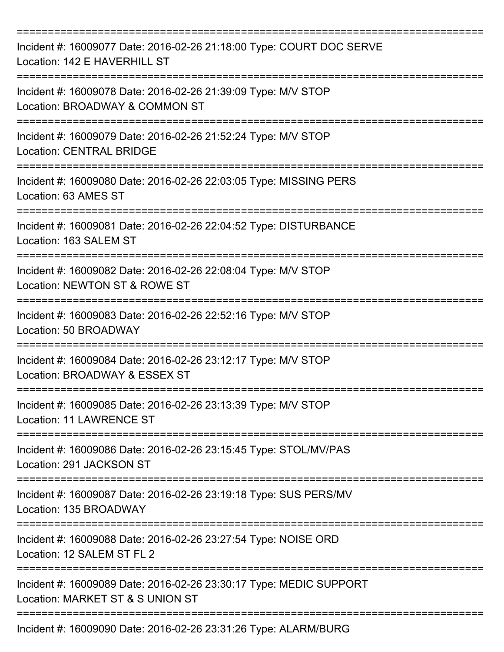| Incident #: 16009077 Date: 2016-02-26 21:18:00 Type: COURT DOC SERVE<br>Location: 142 E HAVERHILL ST   |
|--------------------------------------------------------------------------------------------------------|
| Incident #: 16009078 Date: 2016-02-26 21:39:09 Type: M/V STOP<br>Location: BROADWAY & COMMON ST        |
| Incident #: 16009079 Date: 2016-02-26 21:52:24 Type: M/V STOP<br><b>Location: CENTRAL BRIDGE</b>       |
| Incident #: 16009080 Date: 2016-02-26 22:03:05 Type: MISSING PERS<br>Location: 63 AMES ST              |
| Incident #: 16009081 Date: 2016-02-26 22:04:52 Type: DISTURBANCE<br>Location: 163 SALEM ST             |
| Incident #: 16009082 Date: 2016-02-26 22:08:04 Type: M/V STOP<br>Location: NEWTON ST & ROWE ST         |
| Incident #: 16009083 Date: 2016-02-26 22:52:16 Type: M/V STOP<br>Location: 50 BROADWAY                 |
| Incident #: 16009084 Date: 2016-02-26 23:12:17 Type: M/V STOP<br>Location: BROADWAY & ESSEX ST         |
| Incident #: 16009085 Date: 2016-02-26 23:13:39 Type: M/V STOP<br>Location: 11 LAWRENCE ST              |
| Incident #: 16009086 Date: 2016-02-26 23:15:45 Type: STOL/MV/PAS<br>Location: 291 JACKSON ST           |
| Incident #: 16009087 Date: 2016-02-26 23:19:18 Type: SUS PERS/MV<br>Location: 135 BROADWAY             |
| Incident #: 16009088 Date: 2016-02-26 23:27:54 Type: NOISE ORD<br>Location: 12 SALEM ST FL 2           |
| Incident #: 16009089 Date: 2016-02-26 23:30:17 Type: MEDIC SUPPORT<br>Location: MARKET ST & S UNION ST |
| Incident #: 16009090 Date: 2016-02-26 23:31:26 Type: ALARM/BURG                                        |